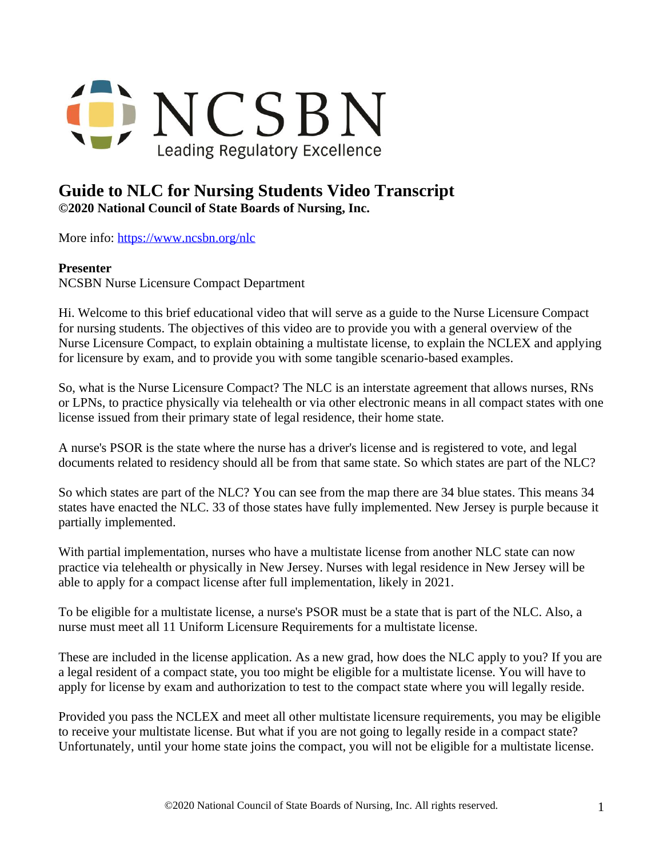

## **Guide to NLC for Nursing Students Video Transcript ©2020 National Council of State Boards of Nursing, Inc.**

More info: <https://www.ncsbn.org/nlc>

## **Presenter**

NCSBN Nurse Licensure Compact Department

Hi. Welcome to this brief educational video that will serve as a guide to the Nurse Licensure Compact for nursing students. The objectives of this video are to provide you with a general overview of the Nurse Licensure Compact, to explain obtaining a multistate license, to explain the NCLEX and applying for licensure by exam, and to provide you with some tangible scenario-based examples.

So, what is the Nurse Licensure Compact? The NLC is an interstate agreement that allows nurses, RNs or LPNs, to practice physically via telehealth or via other electronic means in all compact states with one license issued from their primary state of legal residence, their home state.

A nurse's PSOR is the state where the nurse has a driver's license and is registered to vote, and legal documents related to residency should all be from that same state. So which states are part of the NLC?

So which states are part of the NLC? You can see from the map there are 34 blue states. This means 34 states have enacted the NLC. 33 of those states have fully implemented. New Jersey is purple because it partially implemented.

With partial implementation, nurses who have a multistate license from another NLC state can now practice via telehealth or physically in New Jersey. Nurses with legal residence in New Jersey will be able to apply for a compact license after full implementation, likely in 2021.

To be eligible for a multistate license, a nurse's PSOR must be a state that is part of the NLC. Also, a nurse must meet all 11 Uniform Licensure Requirements for a multistate license.

These are included in the license application. As a new grad, how does the NLC apply to you? If you are a legal resident of a compact state, you too might be eligible for a multistate license. You will have to apply for license by exam and authorization to test to the compact state where you will legally reside.

Provided you pass the NCLEX and meet all other multistate licensure requirements, you may be eligible to receive your multistate license. But what if you are not going to legally reside in a compact state? Unfortunately, until your home state joins the compact, you will not be eligible for a multistate license.